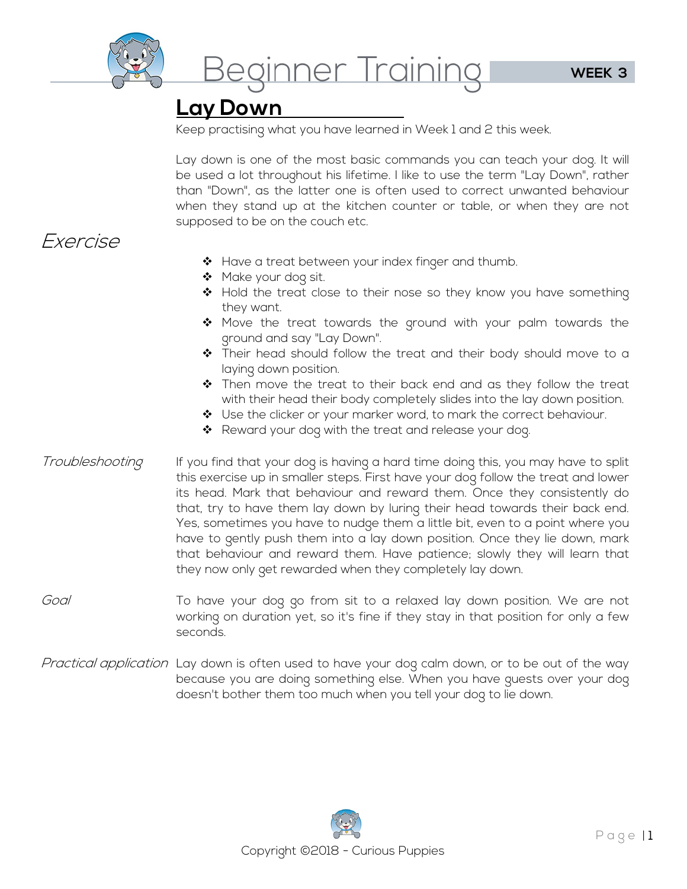

Beginner Training

## **Lay Down**

Keep practising what you have learned in Week 1 and 2 this week.

Lay down is one of the most basic commands you can teach your dog. It will be used a lot throughout his lifetime. I like to use the term "Lay Down", rather than "Down", as the latter one is often used to correct unwanted behaviour when they stand up at the kitchen counter or table, or when they are not supposed to be on the couch etc.

## Exercise

- $\clubsuit$  Have a treat between your index finger and thumb.
- ◆ Make your dog sit.
- Hold the treat close to their nose so they know you have something they want.
- $\clubsuit$  Move the treat towards the ground with your palm towards the ground and say "Lay Down".
- \* Their head should follow the treat and their body should move to a laying down position.
- $\clubsuit$  Then move the treat to their back end and as they follow the treat with their head their body completely slides into the lay down position.
- ❖ Use the clicker or your marker word, to mark the correct behaviour.
- ❖ Reward your dog with the treat and release your dog.
- Troubleshooting If you find that your dog is having a hard time doing this, you may have to split this exercise up in smaller steps. First have your dog follow the treat and lower its head. Mark that behaviour and reward them. Once they consistently do that, try to have them lay down by luring their head towards their back end. Yes, sometimes you have to nudge them a little bit, even to a point where you have to gently push them into a lay down position. Once they lie down, mark that behaviour and reward them. Have patience; slowly they will learn that they now only get rewarded when they completely lay down.
- Goal To have your dog go from sit to a relaxed lay down position. We are not working on duration yet, so it's fine if they stay in that position for only a few seconds.
- Practical application Lay down is often used to have your dog calm down, or to be out of the way because you are doing something else. When you have guests over your dog doesn't bother them too much when you tell your dog to lie down.